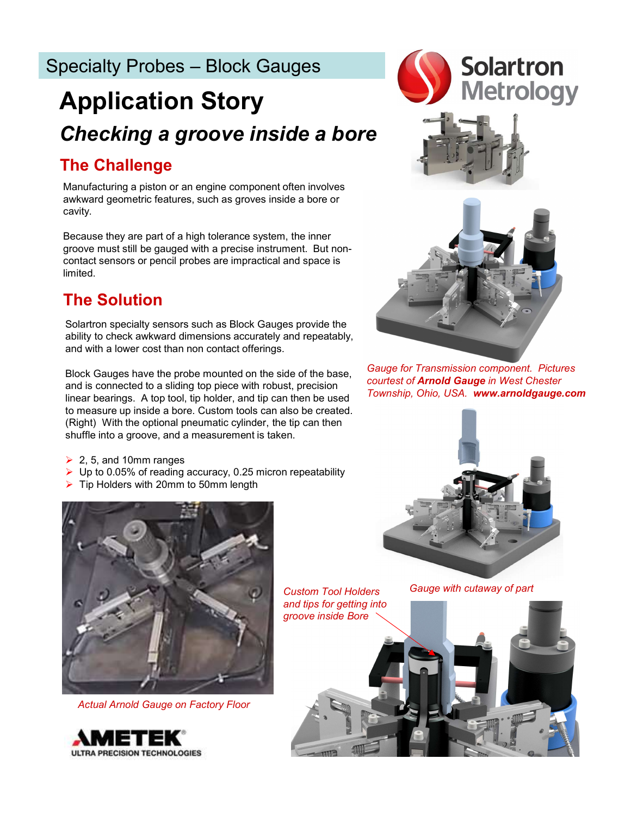# Checking a groove inside a bore Application Story Specialty Probes – Block Gauges<br> **Application Story**<br>
Checking a groove inside a bore

# The Challenge

Manufacturing a piston or an engine component often involves awkward geometric features, such as groves inside a bore or cavity.

Because they are part of a high tolerance system, the inner groove must still be gauged with a precise instrument. But noncontact sensors or pencil probes are impractical and space is limited.

# The Solution

Solartron specialty sensors such as Block Gauges provide the ability to check awkward dimensions accurately and repeatably, and with a lower cost than non contact offerings.

Block Gauges have the probe mounted on the side of the base, and is connected to a sliding top piece with robust, precision linear bearings. A top tool, tip holder, and tip can then be used to measure up inside a bore. Custom tools can also be created. (Right) With the optional pneumatic cylinder, the tip can then shuffle into a groove, and a measurement is taken.

- $\geq$  2, 5, and 10mm ranges
- $\triangleright$  Up to 0.05% of reading accuracy, 0.25 micron repeatability
- $\triangleright$  Tip Holders with 20mm to 50mm length





Gauge for Transmission component. Pictures courtest of Arnold Gauge in West Chester Township, Ohio, USA. www.arnoldgauge.com





Actual Arnold Gauge on Factory Floor